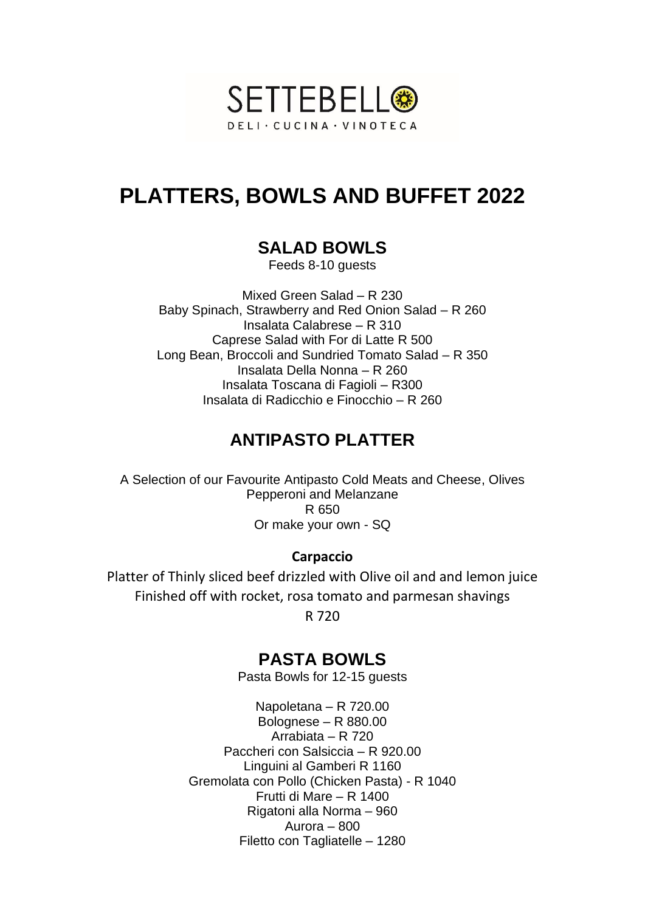

# **PLATTERS, BOWLS AND BUFFET 2022**

# **SALAD BOWLS**

Feeds 8-10 guests

Mixed Green Salad – R 230 Baby Spinach, Strawberry and Red Onion Salad – R 260 Insalata Calabrese – R 310 Caprese Salad with For di Latte R 500 Long Bean, Broccoli and Sundried Tomato Salad – R 350 Insalata Della Nonna – R 260 Insalata Toscana di Fagioli – R300 Insalata di Radicchio e Finocchio – R 260

# **ANTIPASTO PLATTER**

A Selection of our Favourite Antipasto Cold Meats and Cheese, Olives Pepperoni and Melanzane R 650 Or make your own - SQ

#### **Carpaccio**

Platter of Thinly sliced beef drizzled with Olive oil and and lemon juice Finished off with rocket, rosa tomato and parmesan shavings

R 720

# **PASTA BOWLS**

Pasta Bowls for 12-15 guests

Napoletana – R 720.00 Bolognese – R 880.00 Arrabiata – R 720 Paccheri con Salsiccia – R 920.00 Linguini al Gamberi R 1160 Gremolata con Pollo (Chicken Pasta) - R 1040 Frutti di Mare – R 1400 Rigatoni alla Norma – 960 Aurora – 800 Filetto con Tagliatelle – 1280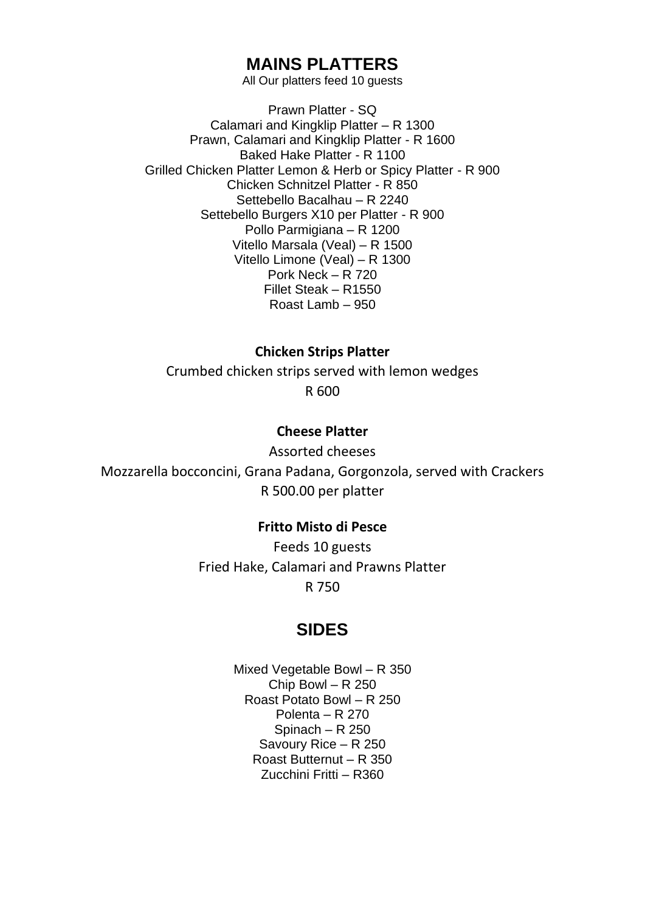## **MAINS PLATTERS**

All Our platters feed 10 guests

Prawn Platter - SQ Calamari and Kingklip Platter – R 1300 Prawn, Calamari and Kingklip Platter - R 1600 Baked Hake Platter - R 1100 Grilled Chicken Platter Lemon & Herb or Spicy Platter - R 900 Chicken Schnitzel Platter - R 850 Settebello Bacalhau – R 2240 Settebello Burgers X10 per Platter - R 900 Pollo Parmigiana – R 1200 Vitello Marsala (Veal) – R 1500 Vitello Limone (Veal) – R 1300 Pork Neck – R 720 Fillet Steak – R1550 Roast Lamb – 950

**Chicken Strips Platter**

Crumbed chicken strips served with lemon wedges R 600

#### **Cheese Platter**

Assorted cheeses Mozzarella bocconcini, Grana Padana, Gorgonzola, served with Crackers R 500.00 per platter

#### **Fritto Misto di Pesce**

Feeds 10 guests Fried Hake, Calamari and Prawns Platter R 750

### **SIDES**

Mixed Vegetable Bowl – R 350 Chip Bowl – R 250 Roast Potato Bowl – R 250 Polenta – R 270 Spinach – R 250 Savoury Rice – R 250 Roast Butternut – R 350 Zucchini Fritti – R360